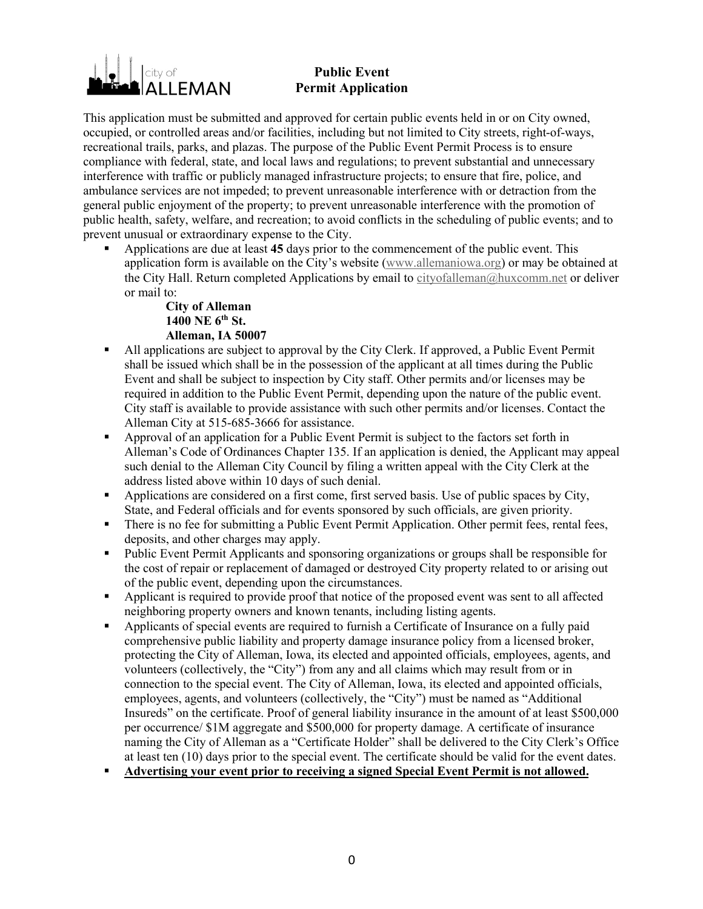# city of LEMAN

### **Public Event Permit Application**

This application must be submitted and approved for certain public events held in or on City owned, occupied, or controlled areas and/or facilities, including but not limited to City streets, right-of-ways, recreational trails, parks, and plazas. The purpose of the Public Event Permit Process is to ensure compliance with federal, state, and local laws and regulations; to prevent substantial and unnecessary interference with traffic or publicly managed infrastructure projects; to ensure that fire, police, and ambulance services are not impeded; to prevent unreasonable interference with or detraction from the general public enjoyment of the property; to prevent unreasonable interference with the promotion of public health, safety, welfare, and recreation; to avoid conflicts in the scheduling of public events; and to prevent unusual or extraordinary expense to the City.

§ Applications are due at least **45** days prior to the commencement of the public event. This application form is available on the City's website (www.allemaniowa.org) or may be obtained at the City Hall. Return completed Applications by email to cityofalleman@huxcomm.net or deliver or mail to:

#### **City of Alleman 1400 NE 6th St. Alleman, IA 50007**

- § All applications are subject to approval by the City Clerk. If approved, a Public Event Permit shall be issued which shall be in the possession of the applicant at all times during the Public Event and shall be subject to inspection by City staff. Other permits and/or licenses may be required in addition to the Public Event Permit, depending upon the nature of the public event. City staff is available to provide assistance with such other permits and/or licenses. Contact the Alleman City at 515-685-3666 for assistance.
- § Approval of an application for a Public Event Permit is subject to the factors set forth in Alleman's Code of Ordinances Chapter 135. If an application is denied, the Applicant may appeal such denial to the Alleman City Council by filing a written appeal with the City Clerk at the address listed above within 10 days of such denial.
- § Applications are considered on a first come, first served basis. Use of public spaces by City, State, and Federal officials and for events sponsored by such officials, are given priority.
- There is no fee for submitting a Public Event Permit Application. Other permit fees, rental fees, deposits, and other charges may apply.
- Public Event Permit Applicants and sponsoring organizations or groups shall be responsible for the cost of repair or replacement of damaged or destroyed City property related to or arising out of the public event, depending upon the circumstances.
- § Applicant is required to provide proof that notice of the proposed event was sent to all affected neighboring property owners and known tenants, including listing agents.
- § Applicants of special events are required to furnish a Certificate of Insurance on a fully paid comprehensive public liability and property damage insurance policy from a licensed broker, protecting the City of Alleman, Iowa, its elected and appointed officials, employees, agents, and volunteers (collectively, the "City") from any and all claims which may result from or in connection to the special event. The City of Alleman, Iowa, its elected and appointed officials, employees, agents, and volunteers (collectively, the "City") must be named as "Additional Insureds" on the certificate. Proof of general liability insurance in the amount of at least \$500,000 per occurrence/ \$1M aggregate and \$500,000 for property damage. A certificate of insurance naming the City of Alleman as a "Certificate Holder" shall be delivered to the City Clerk's Office at least ten (10) days prior to the special event. The certificate should be valid for the event dates.
- § **Advertising your event prior to receiving a signed Special Event Permit is not allowed.**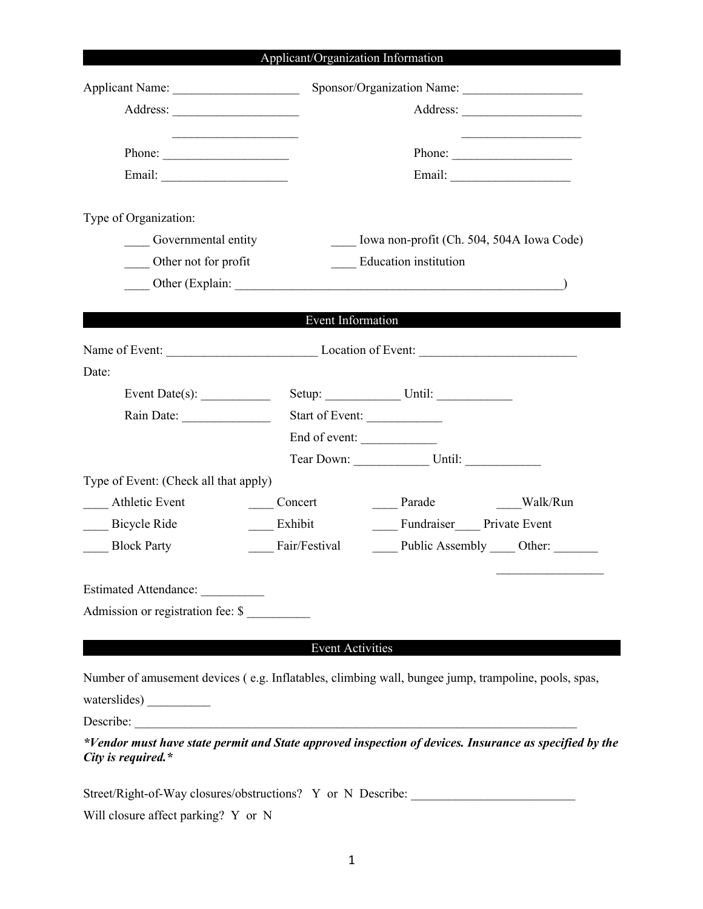## Applicant/Organization Information

|                                       |                              | Sponsor/Organization Name:                                                                             |
|---------------------------------------|------------------------------|--------------------------------------------------------------------------------------------------------|
|                                       |                              |                                                                                                        |
|                                       |                              |                                                                                                        |
| Phone: $\qquad \qquad$                |                              |                                                                                                        |
|                                       |                              |                                                                                                        |
| Type of Organization:                 |                              |                                                                                                        |
| Governmental entity                   |                              | Iowa non-profit (Ch. 504, 504A Iowa Code)                                                              |
| Other not for profit                  | <b>Education</b> institution |                                                                                                        |
|                                       |                              |                                                                                                        |
|                                       |                              |                                                                                                        |
|                                       | Event Information            |                                                                                                        |
|                                       |                              |                                                                                                        |
| Date:                                 |                              |                                                                                                        |
| Event Date(s): $\qquad \qquad$        |                              |                                                                                                        |
|                                       | Start of Event:              |                                                                                                        |
|                                       | End of event:                |                                                                                                        |
|                                       |                              | Tear Down: Until: Until:                                                                               |
| Type of Event: (Check all that apply) |                              |                                                                                                        |
| <b>Athletic Event</b>                 | Concert                      |                                                                                                        |
| <b>Bicycle Ride</b>                   | Exhibit                      | Fundraiser Private Event                                                                               |
| <b>Block Party</b>                    | Fair/Festival                | Public Assembly _____ Other:                                                                           |
| Estimated Attendance:                 |                              |                                                                                                        |
| Admission or registration fee: \$     |                              |                                                                                                        |
|                                       |                              |                                                                                                        |
|                                       | <b>Event Activities</b>      |                                                                                                        |
|                                       |                              |                                                                                                        |
|                                       |                              | Number of amusement devices (e.g. Inflatables, climbing wall, bungee jump, trampoline, pools, spas,    |
|                                       |                              |                                                                                                        |
| Describe:                             |                              |                                                                                                        |
| City is required. $*$                 |                              | *Vendor must have state permit and State approved inspection of devices. Insurance as specified by the |
|                                       |                              | Street/Right-of-Way closures/obstructions? Y or N Describe:                                            |
| Will closure affect parking? Y or N   |                              |                                                                                                        |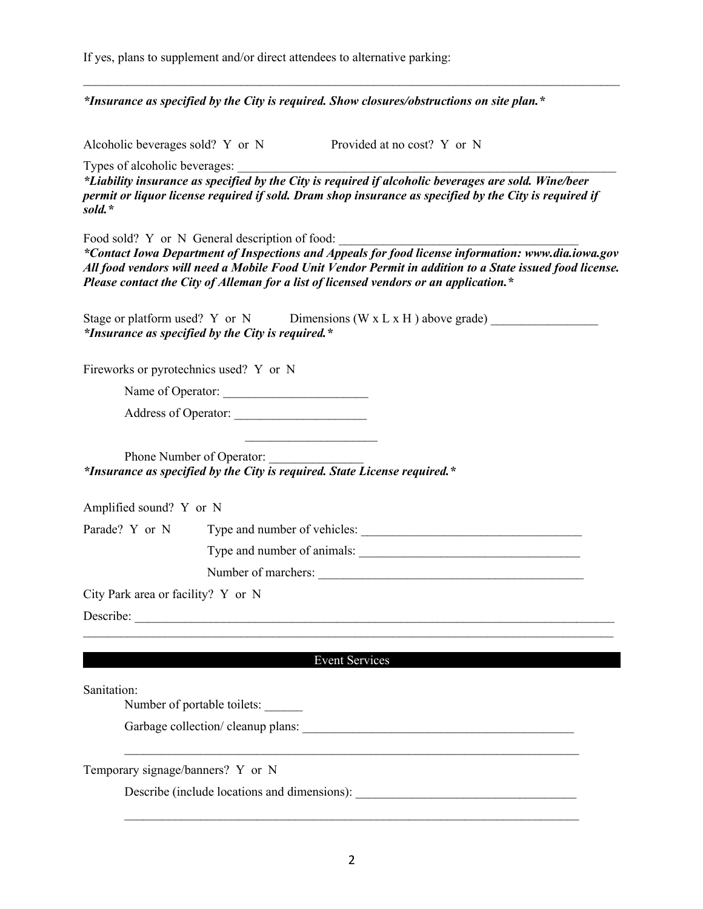If yes, plans to supplement and/or direct attendees to alternative parking:

*\*Insurance as specified by the City is required. Show closures/obstructions on site plan.\**

Alcoholic beverages sold? Y or N Provided at no cost? Y or N

Types of alcoholic beverages:

*\*Liability insurance as specified by the City is required if alcoholic beverages are sold. Wine/beer permit or liquor license required if sold. Dram shop insurance as specified by the City is required if sold.\**

 $\mathcal{L}_\text{max}$  and  $\mathcal{L}_\text{max}$  and  $\mathcal{L}_\text{max}$  and  $\mathcal{L}_\text{max}$  and  $\mathcal{L}_\text{max}$  and  $\mathcal{L}_\text{max}$ 

Food sold? Y or N General description of food:

*\*Contact Iowa Department of Inspections and Appeals for food license information: www.dia.iowa.gov All food vendors will need a Mobile Food Unit Vendor Permit in addition to a State issued food license. Please contact the City of Alleman for a list of licensed vendors or an application.\**

| Stage or platform used? Y or N                           | Dimensions (W $x$ L $x$ H ) above grade) |  |
|----------------------------------------------------------|------------------------------------------|--|
| <i>*Insurance as specified by the City is required.*</i> |                                          |  |

Fireworks or pyrotechnics used? Y or N

Name of Operator: \_\_\_\_\_\_\_\_\_\_\_\_\_\_\_\_\_\_\_\_\_\_\_

Address of Operator:

Phone Number of Operator: *\*Insurance as specified by the City is required. State License required.\**

 $\mathcal{L}_\text{max}$ 

Amplified sound? Y or N

Parade? Y or N Type and number of vehicles: \_\_\_\_\_\_\_\_\_\_\_\_\_\_\_\_\_\_\_\_\_\_\_\_\_\_\_\_\_\_\_\_\_\_\_

Type and number of animals:

Number of marchers: \_\_\_\_\_\_\_\_\_\_\_\_\_\_\_\_\_\_\_\_\_\_\_\_\_\_\_\_\_\_\_\_\_\_\_\_\_\_\_\_\_\_

City Park area or facility? Y or N

Describe:

#### Event Services

 $\mathcal{L}_\text{max} = \frac{1}{2} \sum_{i=1}^n \mathcal{L}_\text{max} = \frac{1}{2} \sum_{i=1}^n \mathcal{L}_\text{max} = \frac{1}{2} \sum_{i=1}^n \mathcal{L}_\text{max} = \frac{1}{2} \sum_{i=1}^n \mathcal{L}_\text{max} = \frac{1}{2} \sum_{i=1}^n \mathcal{L}_\text{max} = \frac{1}{2} \sum_{i=1}^n \mathcal{L}_\text{max} = \frac{1}{2} \sum_{i=1}^n \mathcal{L}_\text{max} = \frac{1}{2} \sum_{i=$ 

Sanitation:

Number of portable toilets: \_\_\_\_\_\_

Garbage collection/ cleanup plans:

Temporary signage/banners? Y or N

Describe (include locations and dimensions):

 $\mathcal{L}_\text{max} = \frac{1}{2} \sum_{i=1}^n \mathcal{L}_\text{max} = \frac{1}{2} \sum_{i=1}^n \mathcal{L}_\text{max} = \frac{1}{2} \sum_{i=1}^n \mathcal{L}_\text{max} = \frac{1}{2} \sum_{i=1}^n \mathcal{L}_\text{max} = \frac{1}{2} \sum_{i=1}^n \mathcal{L}_\text{max} = \frac{1}{2} \sum_{i=1}^n \mathcal{L}_\text{max} = \frac{1}{2} \sum_{i=1}^n \mathcal{L}_\text{max} = \frac{1}{2} \sum_{i=$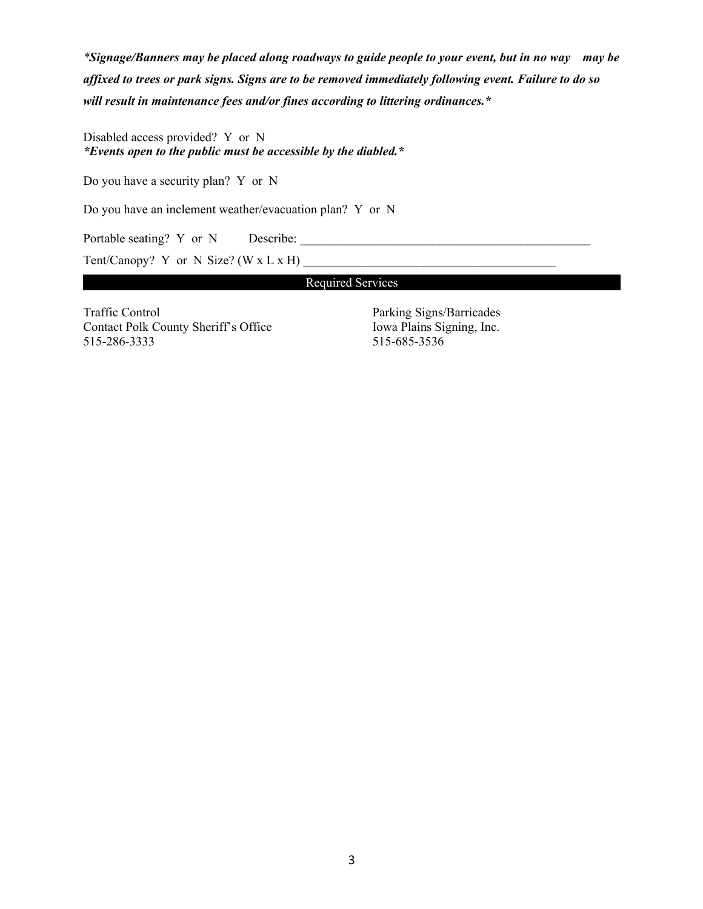*\*Signage/Banners may be placed along roadways to guide people to your event, but in no way may be affixed to trees or park signs. Signs are to be removed immediately following event. Failure to do so will result in maintenance fees and/or fines according to littering ordinances.\**

Disabled access provided? Y or N *\*Events open to the public must be accessible by the diabled.\**

Do you have a security plan? Y or N

Do you have an inclement weather/evacuation plan? Y or N

Portable seating? Y or N Describe:

Tent/Canopy? Y or N Size? (W  $x$  L  $x$  H)

Required Services

Traffic Control Parking Signs/Barricades Contact Polk County Sheriff's Office Iowa Plains Signing, Inc. 515-286-3333 515-685-3536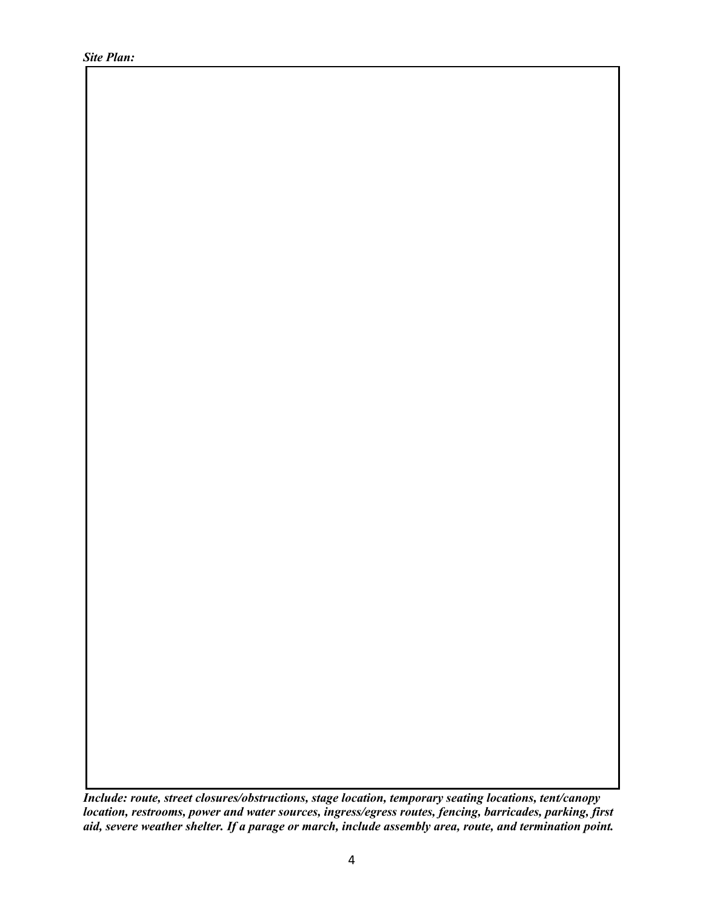*Site Plan:*

*Include: route, street closures/obstructions, stage location, temporary seating locations, tent/canopy location, restrooms, power and water sources, ingress/egress routes, fencing, barricades, parking, first aid, severe weather shelter. If a parage or march, include assembly area, route, and termination point.*